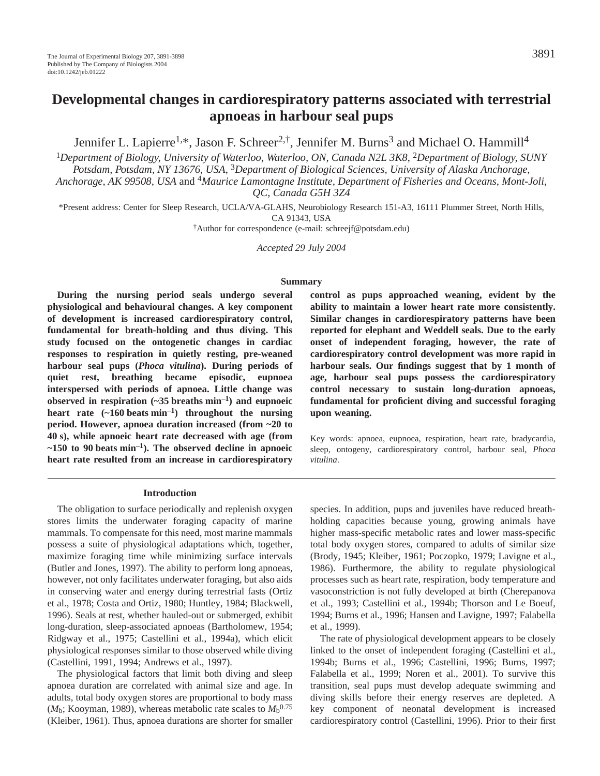Jennifer L. Lapierre<sup>1,\*</sup>, Jason F. Schreer<sup>2,†</sup>, Jennifer M. Burns<sup>3</sup> and Michael O. Hammill<sup>4</sup>

<sup>1</sup>*Department of Biology, University of Waterloo, Waterloo, ON, Canada N2L 3K8*, 2*Department of Biology, SUNY Potsdam, Potsdam, NY 13676, USA*, 3*Department of Biological Sciences, University of Alaska Anchorage,*

*Anchorage, AK 99508, USA* and 4*Maurice Lamontagne Institute, Department of Fisheries and Oceans, Mont-Joli, QC, Canada G5H 3Z4*

\*Present address: Center for Sleep Research, UCLA/VA-GLAHS, Neurobiology Research 151-A3, 16111 Plummer Street, North Hills, CA 91343, USA

†Author for correspondence (e-mail: schreejf@potsdam.edu)

*Accepted 29 July 2004*

#### **Summary**

**During the nursing period seals undergo several physiological and behavioural changes. A key component of development is increased cardiorespiratory control, fundamental for breath-holding and thus diving. This study focused on the ontogenetic changes in cardiac responses to respiration in quietly resting, pre-weaned harbour seal pups (***Phoca vitulina***). During periods of quiet rest, breathing became episodic, eupnoea interspersed with periods of apnoea. Little change was** observed in respiration  $(\sim 35 \text{ breaths min}^{-1})$  and eupnoeic heart rate  $(-160 \text{ beats min}^{-1})$  throughout the nursing **period. However, apnoea duration increased (from ~20 to 40·s), while apnoeic heart rate decreased with age (from**  $\sim$ 150 to 90 beats min<sup>-1</sup>). The observed decline in apnoeic **heart rate resulted from an increase in cardiorespiratory**

**control as pups approached weaning, evident by the ability to maintain a lower heart rate more consistently. Similar changes in cardiorespiratory patterns have been reported for elephant and Weddell seals. Due to the early onset of independent foraging, however, the rate of cardiorespiratory control development was more rapid in harbour seals. Our findings suggest that by 1 month of age, harbour seal pups possess the cardiorespiratory control necessary to sustain long-duration apnoeas, fundamental for proficient diving and successful foraging upon weaning.**

Key words: apnoea, eupnoea, respiration, heart rate, bradycardia, sleep, ontogeny, cardiorespiratory control, harbour seal, *Phoca vitulina*.

#### **Introduction**

The obligation to surface periodically and replenish oxygen stores limits the underwater foraging capacity of marine mammals. To compensate for this need, most marine mammals possess a suite of physiological adaptations which, together, maximize foraging time while minimizing surface intervals (Butler and Jones, 1997). The ability to perform long apnoeas, however, not only facilitates underwater foraging, but also aids in conserving water and energy during terrestrial fasts (Ortiz et al., 1978; Costa and Ortiz, 1980; Huntley, 1984; Blackwell, 1996). Seals at rest, whether hauled-out or submerged, exhibit long-duration, sleep-associated apnoeas (Bartholomew, 1954; Ridgway et al., 1975; Castellini et al., 1994a), which elicit physiological responses similar to those observed while diving (Castellini, 1991, 1994; Andrews et al., 1997).

The physiological factors that limit both diving and sleep apnoea duration are correlated with animal size and age. In adults, total body oxygen stores are proportional to body mass  $(M_b; Kooyman, 1989)$ , whereas metabolic rate scales to  $M_b^{0.75}$ (Kleiber, 1961). Thus, apnoea durations are shorter for smaller

species. In addition, pups and juveniles have reduced breathholding capacities because young, growing animals have higher mass-specific metabolic rates and lower mass-specific total body oxygen stores, compared to adults of similar size (Brody, 1945; Kleiber, 1961; Poczopko, 1979; Lavigne et al., 1986). Furthermore, the ability to regulate physiological processes such as heart rate, respiration, body temperature and vasoconstriction is not fully developed at birth (Cherepanova et al., 1993; Castellini et al., 1994b; Thorson and Le Boeuf, 1994; Burns et al., 1996; Hansen and Lavigne, 1997; Falabella et al., 1999).

The rate of physiological development appears to be closely linked to the onset of independent foraging (Castellini et al., 1994b; Burns et al., 1996; Castellini, 1996; Burns, 1997; Falabella et al., 1999; Noren et al., 2001). To survive this transition, seal pups must develop adequate swimming and diving skills before their energy reserves are depleted. A key component of neonatal development is increased cardiorespiratory control (Castellini, 1996). Prior to their first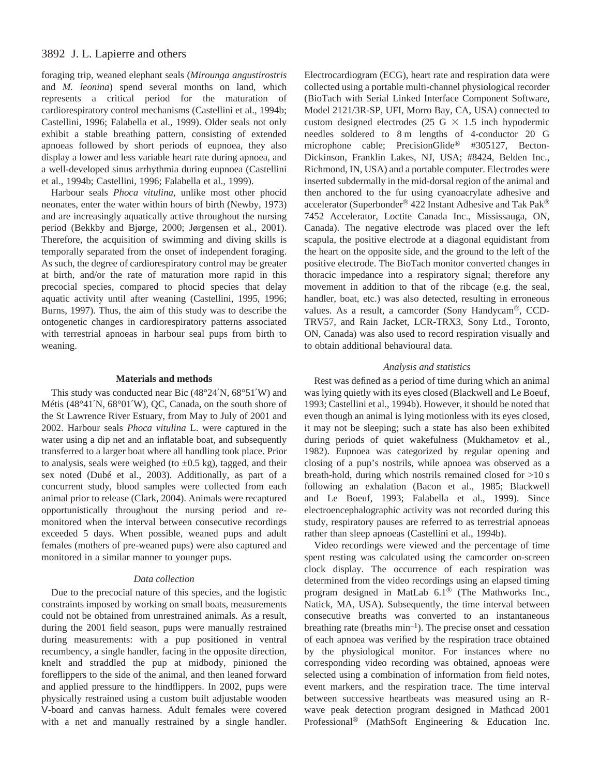foraging trip, weaned elephant seals (*Mirounga angustirostris* and *M. leonina*) spend several months on land, which represents a critical period for the maturation of cardiorespiratory control mechanisms (Castellini et al., 1994b; Castellini, 1996; Falabella et al., 1999). Older seals not only exhibit a stable breathing pattern, consisting of extended apnoeas followed by short periods of eupnoea, they also display a lower and less variable heart rate during apnoea, and a well-developed sinus arrhythmia during eupnoea (Castellini et al., 1994b; Castellini, 1996; Falabella et al., 1999).

Harbour seals *Phoca vitulina*, unlike most other phocid neonates, enter the water within hours of birth (Newby, 1973) and are increasingly aquatically active throughout the nursing period (Bekkby and Bjørge, 2000; Jørgensen et al., 2001). Therefore, the acquisition of swimming and diving skills is temporally separated from the onset of independent foraging. As such, the degree of cardiorespiratory control may be greater at birth, and/or the rate of maturation more rapid in this precocial species, compared to phocid species that delay aquatic activity until after weaning (Castellini, 1995, 1996; Burns, 1997). Thus, the aim of this study was to describe the ontogenetic changes in cardiorespiratory patterns associated with terrestrial apnoeas in harbour seal pups from birth to weaning.

#### **Materials and methods**

This study was conducted near Bic (48°24′N, 68°51′W) and Métis (48°41′N, 68°01′W), QC, Canada, on the south shore of the St Lawrence River Estuary, from May to July of 2001 and 2002. Harbour seals *Phoca vitulina* L. were captured in the water using a dip net and an inflatable boat, and subsequently transferred to a larger boat where all handling took place. Prior to analysis, seals were weighed (to  $\pm 0.5$  kg), tagged, and their sex noted (Dubé et al., 2003). Additionally, as part of a concurrent study, blood samples were collected from each animal prior to release (Clark, 2004). Animals were recaptured opportunistically throughout the nursing period and remonitored when the interval between consecutive recordings exceeded 5 days. When possible, weaned pups and adult females (mothers of pre-weaned pups) were also captured and monitored in a similar manner to younger pups.

## *Data collection*

Due to the precocial nature of this species, and the logistic constraints imposed by working on small boats, measurements could not be obtained from unrestrained animals. As a result, during the 2001 field season, pups were manually restrained during measurements: with a pup positioned in ventral recumbency, a single handler, facing in the opposite direction, knelt and straddled the pup at midbody, pinioned the foreflippers to the side of the animal, and then leaned forward and applied pressure to the hindflippers. In 2002, pups were physically restrained using a custom built adjustable wooden V-board and canvas harness. Adult females were covered with a net and manually restrained by a single handler.

Electrocardiogram (ECG), heart rate and respiration data were collected using a portable multi-channel physiological recorder (BioTach with Serial Linked Interface Component Software, Model 2121/3R-SP, UFI, Morro Bay, CA, USA) connected to custom designed electrodes (25 G  $\times$  1.5 inch hypodermic needles soldered to 8 m lengths of 4-conductor 20 G microphone cable; PrecisionGlide® #305127, Becton-Dickinson, Franklin Lakes, NJ, USA; #8424, Belden Inc., Richmond, IN, USA) and a portable computer. Electrodes were inserted subdermally in the mid-dorsal region of the animal and then anchored to the fur using cyanoacrylate adhesive and accelerator (Superbonder® 422 Instant Adhesive and Tak Pak® 7452 Accelerator, Loctite Canada Inc., Mississauga, ON, Canada). The negative electrode was placed over the left scapula, the positive electrode at a diagonal equidistant from the heart on the opposite side, and the ground to the left of the positive electrode. The BioTach monitor converted changes in thoracic impedance into a respiratory signal; therefore any movement in addition to that of the ribcage (e.g. the seal, handler, boat, etc.) was also detected, resulting in erroneous values. As a result, a camcorder (Sony Handycam®, CCD-TRV57, and Rain Jacket, LCR-TRX3, Sony Ltd., Toronto, ON, Canada) was also used to record respiration visually and to obtain additional behavioural data.

## *Analysis and statistics*

Rest was defined as a period of time during which an animal was lying quietly with its eyes closed (Blackwell and Le Boeuf, 1993; Castellini et al., 1994b). However, it should be noted that even though an animal is lying motionless with its eyes closed, it may not be sleeping; such a state has also been exhibited during periods of quiet wakefulness (Mukhametov et al., 1982). Eupnoea was categorized by regular opening and closing of a pup's nostrils, while apnoea was observed as a breath-hold, during which nostrils remained closed for  $>10$  s following an exhalation (Bacon et al., 1985; Blackwell and Le Boeuf, 1993; Falabella et al., 1999). Since electroencephalographic activity was not recorded during this study, respiratory pauses are referred to as terrestrial apnoeas rather than sleep apnoeas (Castellini et al., 1994b).

Video recordings were viewed and the percentage of time spent resting was calculated using the camcorder on-screen clock display. The occurrence of each respiration was determined from the video recordings using an elapsed timing program designed in MatLab 6.1® (The Mathworks Inc., Natick, MA, USA). Subsequently, the time interval between consecutive breaths was converted to an instantaneous breathing rate (breaths  $min^{-1}$ ). The precise onset and cessation of each apnoea was verified by the respiration trace obtained by the physiological monitor. For instances where no corresponding video recording was obtained, apnoeas were selected using a combination of information from field notes, event markers, and the respiration trace. The time interval between successive heartbeats was measured using an Rwave peak detection program designed in Mathcad 2001 Professional® (MathSoft Engineering & Education Inc.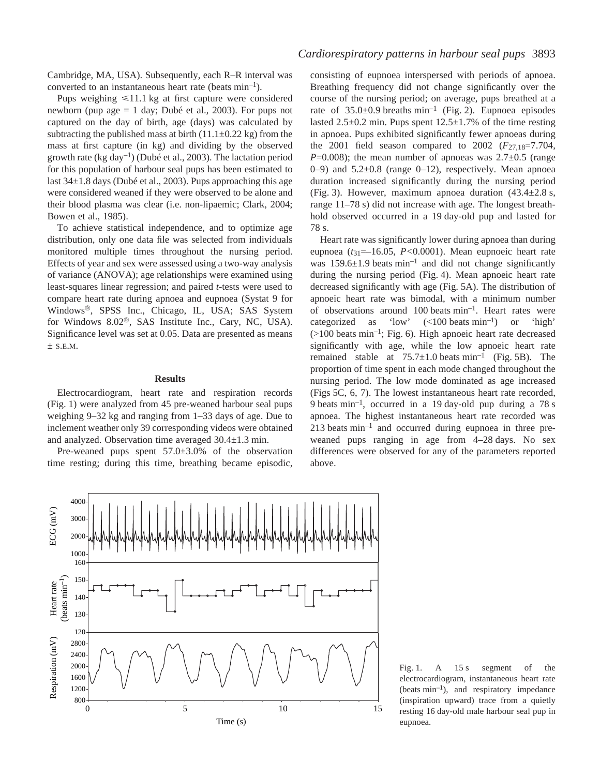Cambridge, MA, USA). Subsequently, each R–R interval was converted to an instantaneous heart rate (beats  $min^{-1}$ ).

Pups weighing  $\leq 11.1$  kg at first capture were considered newborn (pup age = 1 day; Dubé et al., 2003). For pups not captured on the day of birth, age (days) was calculated by subtracting the published mass at birth  $(11.1\pm0.22 \text{ kg})$  from the mass at first capture (in kg) and dividing by the observed growth rate (kg  $day^{-1}$ ) (Dubé et al., 2003). The lactation period for this population of harbour seal pups has been estimated to last 34±1.8 days (Dubé et al., 2003). Pups approaching this age were considered weaned if they were observed to be alone and their blood plasma was clear (i.e. non-lipaemic; Clark, 2004; Bowen et al., 1985).

To achieve statistical independence, and to optimize age distribution, only one data file was selected from individuals monitored multiple times throughout the nursing period. Effects of year and sex were assessed using a two-way analysis of variance (ANOVA); age relationships were examined using least-squares linear regression; and paired *t*-tests were used to compare heart rate during apnoea and eupnoea (Systat 9 for Windows®, SPSS Inc., Chicago, IL, USA; SAS System for Windows 8.02®, SAS Institute Inc., Cary, NC, USA). Significance level was set at 0.05. Data are presented as means  $\pm$  S.E.M.

### **Results**

Electrocardiogram, heart rate and respiration records (Fig. 1) were analyzed from 45 pre-weaned harbour seal pups weighing  $9-32$  kg and ranging from  $1-33$  days of age. Due to inclement weather only 39 corresponding videos were obtained and analyzed. Observation time averaged  $30.4 \pm 1.3$  min.

Pre-weaned pups spent 57.0±3.0% of the observation time resting; during this time, breathing became episodic, consisting of eupnoea interspersed with periods of apnoea. Breathing frequency did not change significantly over the course of the nursing period; on average, pups breathed at a rate of  $35.0\pm0.9$  breaths min<sup>-1</sup> (Fig. 2). Eupnoea episodes lasted  $2.5\pm0.2$  min. Pups spent  $12.5\pm1.7$ % of the time resting in apnoea. Pups exhibited significantly fewer apnoeas during the 2001 field season compared to 2002 (*F*27,18=7.704, *P*=0.008); the mean number of apnoeas was  $2.7\pm0.5$  (range 0–9) and  $5.2\pm0.8$  (range 0–12), respectively. Mean apnoea duration increased significantly during the nursing period (Fig. 3). However, maximum apnoea duration  $(43.4\pm2.8 \text{ s},$ range 11–78 s) did not increase with age. The longest breathhold observed occurred in a 19 day-old pup and lasted for 78 s.

Heart rate was significantly lower during apnoea than during eupnoea (*t*31=–16.05, *P<*0.0001). Mean eupnoeic heart rate was  $159.6\pm1.9$  beats min<sup>-1</sup> and did not change significantly during the nursing period (Fig. 4). Mean apnoeic heart rate decreased significantly with age (Fig. 5A). The distribution of apnoeic heart rate was bimodal, with a minimum number of observations around 100 beats  $min^{-1}$ . Heart rates were categorized as 'low'  $\left(\frac{100 \text{ beats min}^{-1}}{2}\right)$  or 'high'  $(>100$  beats min<sup>-1</sup>; Fig. 6). High apnoeic heart rate decreased significantly with age, while the low apnoeic heart rate remained stable at  $75.7\pm1.0$  beats min<sup>-1</sup> (Fig. 5B). The proportion of time spent in each mode changed throughout the nursing period. The low mode dominated as age increased (Figs·5C, 6, 7). The lowest instantaneous heart rate recorded, 9 beats min<sup>-1</sup>, occurred in a 19 day-old pup during a 78 s apnoea. The highest instantaneous heart rate recorded was  $213$  beats min<sup>-1</sup> and occurred during eupnoea in three preweaned pups ranging in age from  $4-28 \text{ days}$ . No sex differences were observed for any of the parameters reported above.



Fig. 1. A 15 s segment of the electrocardiogram, instantaneous heart rate (beats  $min^{-1}$ ), and respiratory impedance (inspiration upward) trace from a quietly resting 16 day-old male harbour seal pup in eupnoea.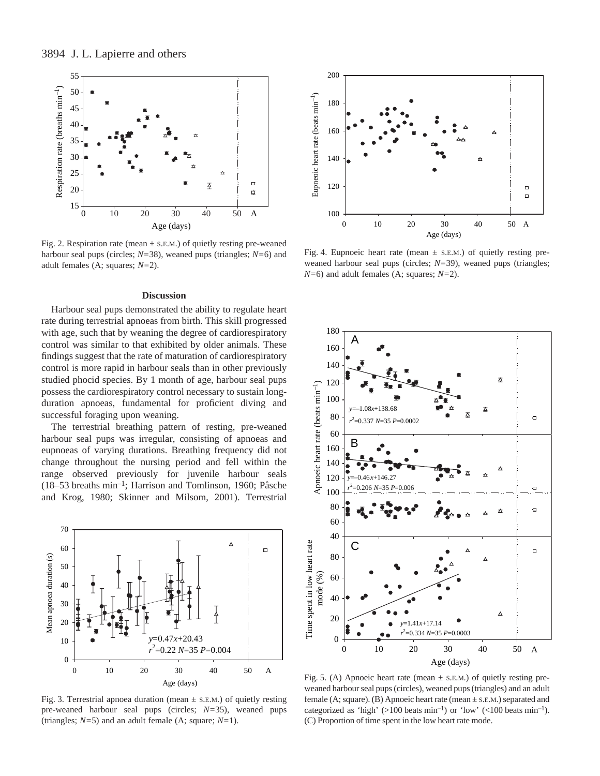

Fig. 2. Respiration rate (mean  $\pm$  s.E.M.) of quietly resting pre-weaned harbour seal pups (circles; *N=*38), weaned pups (triangles; *N=*6) and adult females (A; squares; *N=*2).

# **Discussion**

Harbour seal pups demonstrated the ability to regulate heart rate during terrestrial apnoeas from birth. This skill progressed with age, such that by weaning the degree of cardiorespiratory control was similar to that exhibited by older animals. These findings suggest that the rate of maturation of cardiorespiratory control is more rapid in harbour seals than in other previously studied phocid species. By 1 month of age, harbour seal pups possess the cardiorespiratory control necessary to sustain longduration apnoeas, fundamental for proficient diving and successful foraging upon weaning.

The terrestrial breathing pattern of resting, pre-weaned harbour seal pups was irregular, consisting of apnoeas and eupnoeas of varying durations. Breathing frequency did not change throughout the nursing period and fell within the range observed previously for juvenile harbour seals (18–53 breaths min<sup>-1</sup>; Harrison and Tomlinson, 1960; Påsche and Krog, 1980; Skinner and Milsom, 2001). Terrestrial



Fig. 3. Terrestrial apnoea duration (mean  $\pm$  s.e.m.) of quietly resting pre-weaned harbour seal pups (circles; *N=*35), weaned pups (triangles; *N=*5) and an adult female (A; square; *N=*1).



Fig. 4. Eupnoeic heart rate (mean  $\pm$  s.e.m.) of quietly resting preweaned harbour seal pups (circles; *N=*39), weaned pups (triangles; *N=*6) and adult females (A; squares; *N=*2).



Fig. 5. (A) Apnoeic heart rate (mean  $\pm$  s.E.M.) of quietly resting preweaned harbour seal pups (circles), weaned pups (triangles) and an adult female (A; square). (B) Apnoeic heart rate (mean ± S.E.M.) separated and categorized as 'high' (>100 beats min<sup>-1</sup>) or 'low' (<100 beats min<sup>-1</sup>). (C) Proportion of time spent in the low heart rate mode.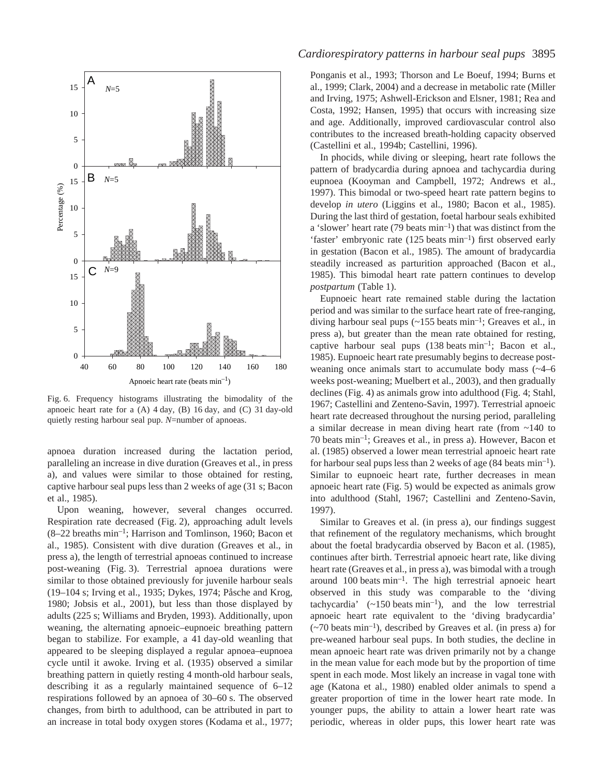

Fig. 6. Frequency histograms illustrating the bimodality of the apnoeic heart rate for a  $(A)$  4 day,  $(B)$  16 day, and  $(C)$  31 day-old quietly resting harbour seal pup. *N*=number of apnoeas.

apnoea duration increased during the lactation period, paralleling an increase in dive duration (Greaves et al., in press a), and values were similar to those obtained for resting, captive harbour seal pups less than 2 weeks of age (31 s; Bacon et al., 1985).

Upon weaning, however, several changes occurred. Respiration rate decreased (Fig. 2), approaching adult levels  $(8-22 \text{ breaths min}^{-1})$ ; Harrison and Tomlinson, 1960; Bacon et al., 1985). Consistent with dive duration (Greaves et al., in press a), the length of terrestrial apnoeas continued to increase post-weaning (Fig. 3). Terrestrial apnoea durations were similar to those obtained previously for juvenile harbour seals (19–104 s; Irving et al., 1935; Dykes, 1974; Påsche and Krog, 1980; Jobsis et al., 2001), but less than those displayed by adults (225 s; Williams and Bryden, 1993). Additionally, upon weaning, the alternating apnoeic–eupnoeic breathing pattern began to stabilize. For example, a 41 day-old weanling that appeared to be sleeping displayed a regular apnoea–eupnoea cycle until it awoke. Irving et al. (1935) observed a similar breathing pattern in quietly resting 4 month-old harbour seals, describing it as a regularly maintained sequence of 6–12 respirations followed by an apnoea of 30–60 s. The observed changes, from birth to adulthood, can be attributed in part to an increase in total body oxygen stores (Kodama et al., 1977;

# *Cardiorespiratory patterns in harbour seal pups* 3895

Ponganis et al., 1993; Thorson and Le Boeuf, 1994; Burns et al., 1999; Clark, 2004) and a decrease in metabolic rate (Miller and Irving, 1975; Ashwell-Erickson and Elsner, 1981; Rea and Costa, 1992; Hansen, 1995) that occurs with increasing size and age. Additionally, improved cardiovascular control also contributes to the increased breath-holding capacity observed (Castellini et al., 1994b; Castellini, 1996).

In phocids, while diving or sleeping, heart rate follows the pattern of bradycardia during apnoea and tachycardia during eupnoea (Kooyman and Campbell, 1972; Andrews et al., 1997). This bimodal or two-speed heart rate pattern begins to develop *in utero* (Liggins et al., 1980; Bacon et al., 1985). During the last third of gestation, foetal harbour seals exhibited a 'slower' heart rate (79 beats  $min^{-1}$ ) that was distinct from the 'faster' embryonic rate  $(125 \text{ beats min}^{-1})$  first observed early in gestation (Bacon et al., 1985). The amount of bradycardia steadily increased as parturition approached (Bacon et al., 1985). This bimodal heart rate pattern continues to develop *postpartum* (Table 1).

Eupnoeic heart rate remained stable during the lactation period and was similar to the surface heart rate of free-ranging, diving harbour seal pups  $(-155 \text{ beats min}^{-1})$ ; Greaves et al., in press a), but greater than the mean rate obtained for resting, captive harbour seal pups  $(138 \text{ beats min}^{-1})$ ; Bacon et al., 1985). Eupnoeic heart rate presumably begins to decrease postweaning once animals start to accumulate body mass (~4–6 weeks post-weaning; Muelbert et al., 2003), and then gradually declines (Fig. 4) as animals grow into adulthood (Fig. 4; Stahl, 1967; Castellini and Zenteno-Savin, 1997). Terrestrial apnoeic heart rate decreased throughout the nursing period, paralleling a similar decrease in mean diving heart rate (from ~140 to 70 beats  $min^{-1}$ ; Greaves et al., in press a). However, Bacon et al. (1985) observed a lower mean terrestrial apnoeic heart rate for harbour seal pups less than 2 weeks of age  $(84 \text{ beats min}^{-1})$ . Similar to eupnoeic heart rate, further decreases in mean apnoeic heart rate (Fig. 5) would be expected as animals grow into adulthood (Stahl, 1967; Castellini and Zenteno-Savin, 1997).

Similar to Greaves et al. (in press a), our findings suggest that refinement of the regulatory mechanisms, which brought about the foetal bradycardia observed by Bacon et al. (1985), continues after birth. Terrestrial apnoeic heart rate, like diving heart rate (Greaves et al., in press a), was bimodal with a trough around  $100$  beats  $min^{-1}$ . The high terrestrial apnoeic heart observed in this study was comparable to the 'diving tachycardia'  $(\sim 150 \text{ beats min}^{-1})$ , and the low terrestrial apnoeic heart rate equivalent to the 'diving bradycardia'  $(\sim 70 \text{ beats min}^{-1})$ , described by Greaves et al. (in press a) for pre-weaned harbour seal pups. In both studies, the decline in mean apnoeic heart rate was driven primarily not by a change in the mean value for each mode but by the proportion of time spent in each mode. Most likely an increase in vagal tone with age (Katona et al., 1980) enabled older animals to spend a greater proportion of time in the lower heart rate mode. In younger pups, the ability to attain a lower heart rate was periodic, whereas in older pups, this lower heart rate was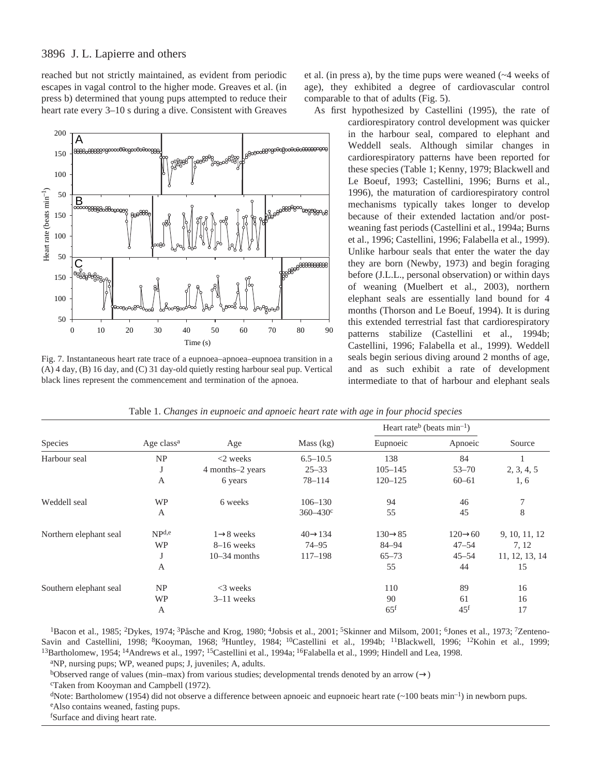reached but not strictly maintained, as evident from periodic escapes in vagal control to the higher mode. Greaves et al. (in press b) determined that young pups attempted to reduce their heart rate every 3–10 s during a dive. Consistent with Greaves



Fig. 7. Instantaneous heart rate trace of a eupnoea–apnoea–eupnoea transition in a  $(A)$  4 day,  $(B)$  16 day, and  $(C)$  31 day-old quietly resting harbour seal pup. Vertical black lines represent the commencement and termination of the apnoea.

et al. (in press a), by the time pups were weaned (~4 weeks of age), they exhibited a degree of cardiovascular control comparable to that of adults (Fig. 5).

As first hypothesized by Castellini (1995), the rate of

cardiorespiratory control development was quicker in the harbour seal, compared to elephant and Weddell seals. Although similar changes in cardiorespiratory patterns have been reported for these species (Table 1; Kenny, 1979; Blackwell and Le Boeuf, 1993; Castellini, 1996; Burns et al., 1996), the maturation of cardiorespiratory control mechanisms typically takes longer to develop because of their extended lactation and/or postweaning fast periods (Castellini et al., 1994a; Burns et al., 1996; Castellini, 1996; Falabella et al., 1999). Unlike harbour seals that enter the water the day they are born (Newby, 1973) and begin foraging before (J.L.L., personal observation) or within days of weaning (Muelbert et al., 2003), northern elephant seals are essentially land bound for 4 months (Thorson and Le Boeuf, 1994). It is during this extended terrestrial fast that cardiorespiratory patterns stabilize (Castellini et al., 1994b; Castellini, 1996; Falabella et al., 1999). Weddell seals begin serious diving around 2 months of age, and as such exhibit a rate of development intermediate to that of harbour and elephant seals

| Species                | Age class <sup>a</sup> | Age                    | Mass $(kg)$          | Heart rate <sup>b</sup> (beats $min^{-1}$ ) |                      |                |
|------------------------|------------------------|------------------------|----------------------|---------------------------------------------|----------------------|----------------|
|                        |                        |                        |                      | Eupnoeic                                    | Apnoeic              | Source         |
| Harbour seal           | NP                     | $<$ 2 weeks            | $6.5 - 10.5$         | 138                                         | 84                   |                |
|                        |                        | 4 months-2 years       | $25 - 33$            | $105 - 145$                                 | $53 - 70$            | 2, 3, 4, 5     |
|                        | А                      | 6 years                | $78 - 114$           | $120 - 125$                                 | $60 - 61$            | 1, 6           |
| Weddell seal           | WP                     | 6 weeks                | $106 - 130$          | 94                                          | 46                   | 7              |
|                        | А                      |                        | $360 - 430$ °        | 55                                          | 45                   | 8              |
| Northern elephant seal | NP <sup>d,e</sup>      | $1\rightarrow 8$ weeks | $40 \rightarrow 134$ | $130 \rightarrow 85$                        | $120 \rightarrow 60$ | 9, 10, 11, 12  |
|                        | WP                     | $8-16$ weeks           | $74 - 95$            | 84-94                                       | $47 - 54$            | 7, 12          |
|                        |                        | $10-34$ months         | $117 - 198$          | $65 - 73$                                   | $45 - 54$            | 11, 12, 13, 14 |
|                        | A                      |                        |                      | 55                                          | 44                   | 15             |
| Southern elephant seal | NP                     | $<$ 3 weeks            |                      | 110                                         | 89                   | 16             |
|                        | WP                     | $3-11$ weeks           |                      | 90                                          | 61                   | 16             |
|                        | А                      |                        |                      | 65 <sup>f</sup>                             | 45 <sup>f</sup>      | 17             |

Table 1. *Changes in eupnoeic and apnoeic heart rate with age in four phocid species* 

<sup>1</sup>Bacon et al., 1985; <sup>2</sup>Dykes, 1974; <sup>3</sup>Påsche and Krog, 1980; <sup>4</sup>Jobsis et al., 2001; <sup>5</sup>Skinner and Milsom, 2001; <sup>6</sup>Jones et al., 1973; <sup>7</sup>Zenteno-Savin and Castellini, 1998; <sup>8</sup>Kooyman, 1968; <sup>9</sup>Huntley, 1984; <sup>10</sup>Castellini et al., 1994b; <sup>11</sup>Blackwell, 1996; <sup>12</sup>Kohin et al., 1999; <sup>13</sup>Bartholomew, 1954; <sup>14</sup>Andrews et al., 1997; <sup>15</sup>Castellini et al., 1994a; <sup>16</sup>Falabella et al., 1999; Hindell and Lea, 1998.

aNP, nursing pups; WP, weaned pups; J, juveniles; A, adults.

bObserved range of values (min–max) from various studies; developmental trends denoted by an arrow  $(\rightarrow)$ 

cTaken from Kooyman and Campbell (1972).

<sup>d</sup>Note: Bartholomew (1954) did not observe a difference between apnoeic and eupnoeic heart rate (~100 beats min<sup>-1</sup>) in newborn pups.

eAlso contains weaned, fasting pups.

f Surface and diving heart rate.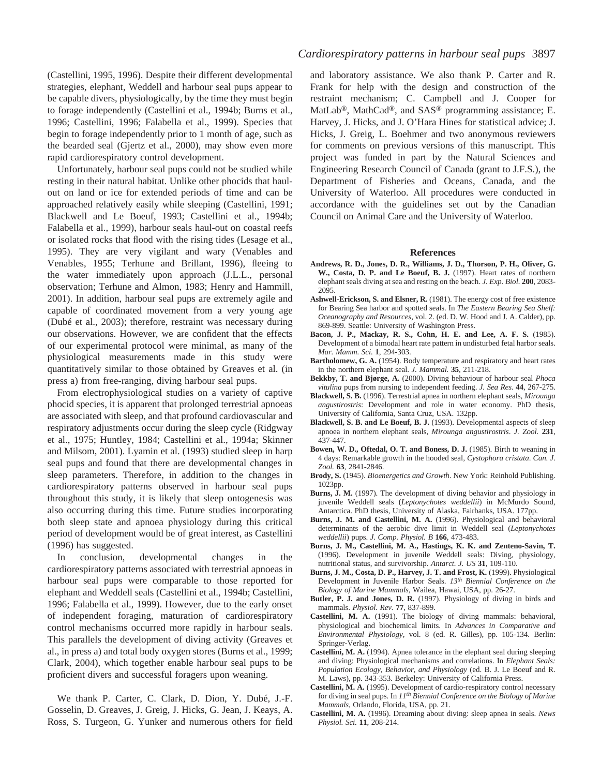(Castellini, 1995, 1996). Despite their different developmental strategies, elephant, Weddell and harbour seal pups appear to be capable divers, physiologically, by the time they must begin to forage independently (Castellini et al., 1994b; Burns et al., 1996; Castellini, 1996; Falabella et al., 1999). Species that begin to forage independently prior to 1 month of age, such as the bearded seal (Gjertz et al., 2000), may show even more rapid cardiorespiratory control development.

Unfortunately, harbour seal pups could not be studied while resting in their natural habitat. Unlike other phocids that haulout on land or ice for extended periods of time and can be approached relatively easily while sleeping (Castellini, 1991; Blackwell and Le Boeuf, 1993; Castellini et al., 1994b; Falabella et al., 1999), harbour seals haul-out on coastal reefs or isolated rocks that flood with the rising tides (Lesage et al., 1995). They are very vigilant and wary (Venables and Venables, 1955; Terhune and Brillant, 1996), fleeing to the water immediately upon approach (J.L.L., personal observation; Terhune and Almon, 1983; Henry and Hammill, 2001). In addition, harbour seal pups are extremely agile and capable of coordinated movement from a very young age (Dubé et al., 2003); therefore, restraint was necessary during our observations. However, we are confident that the effects of our experimental protocol were minimal, as many of the physiological measurements made in this study were quantitatively similar to those obtained by Greaves et al. (in press a) from free-ranging, diving harbour seal pups.

From electrophysiological studies on a variety of captive phocid species, it is apparent that prolonged terrestrial apnoeas are associated with sleep, and that profound cardiovascular and respiratory adjustments occur during the sleep cycle (Ridgway et al., 1975; Huntley, 1984; Castellini et al., 1994a; Skinner and Milsom, 2001). Lyamin et al. (1993) studied sleep in harp seal pups and found that there are developmental changes in sleep parameters. Therefore, in addition to the changes in cardiorespiratory patterns observed in harbour seal pups throughout this study, it is likely that sleep ontogenesis was also occurring during this time. Future studies incorporating both sleep state and apnoea physiology during this critical period of development would be of great interest, as Castellini (1996) has suggested.

In conclusion, developmental changes in the cardiorespiratory patterns associated with terrestrial apnoeas in harbour seal pups were comparable to those reported for elephant and Weddell seals (Castellini et al., 1994b; Castellini, 1996; Falabella et al., 1999). However, due to the early onset of independent foraging, maturation of cardiorespiratory control mechanisms occurred more rapidly in harbour seals. This parallels the development of diving activity (Greaves et al., in press a) and total body oxygen stores (Burns et al., 1999; Clark, 2004), which together enable harbour seal pups to be proficient divers and successful foragers upon weaning.

We thank P. Carter, C. Clark, D. Dion, Y. Dubé, J.-F. Gosselin, D. Greaves, J. Greig, J. Hicks, G. Jean, J. Keays, A. Ross, S. Turgeon, G. Yunker and numerous others for field and laboratory assistance. We also thank P. Carter and R. Frank for help with the design and construction of the restraint mechanism; C. Campbell and J. Cooper for MatLab<sup>®</sup>, MathCad<sup>®</sup>, and SAS<sup>®</sup> programming assistance; E. Harvey, J. Hicks, and J. O'Hara Hines for statistical advice; J. Hicks, J. Greig, L. Boehmer and two anonymous reviewers for comments on previous versions of this manuscript. This project was funded in part by the Natural Sciences and Engineering Research Council of Canada (grant to J.F.S.), the Department of Fisheries and Oceans, Canada, and the University of Waterloo. All procedures were conducted in accordance with the guidelines set out by the Canadian Council on Animal Care and the University of Waterloo.

#### **References**

- **Andrews, R. D., Jones, D. R., Williams, J. D., Thorson, P. H., Oliver, G. W., Costa, D. P. and Le Boeuf, B. J.** (1997). Heart rates of northern elephant seals diving at sea and resting on the beach. *J. Exp. Biol.* **200**, 2083- 2095.
- Ashwell-Erickson, S. and Elsner, R. (1981). The energy cost of free existence for Bearing Sea harbor and spotted seals. In *The Eastern Bearing Sea Shelf: Oceanography and Resources*, vol. 2. (ed. D. W. Hood and J. A. Calder), pp. 869-899. Seattle: University of Washington Press.
- **Bacon, J. P., Mackay, R. S., Cohn, H. E. and Lee, A. F. S.** (1985). Development of a bimodal heart rate pattern in undisturbed fetal harbor seals. *Mar. Mamm. Sci.* **1**, 294-303.
- **Bartholomew, G. A.** (1954). Body temperature and respiratory and heart rates in the northern elephant seal. *J. Mammal.* **35**, 211-218.
- **Bekkby, T. and Bjørge, A.** (2000). Diving behaviour of harbour seal *Phoca vitulina* pups from nursing to independent feeding. *J. Sea Res.* **44**, 267-275.
- **Blackwell, S. B.** (1996). Terrestrial apnea in northern elephant seals, *Mirounga angustirostris*: Development and role in water economy. PhD thesis, University of California, Santa Cruz, USA. 132pp.
- **Blackwell, S. B. and Le Boeuf, B. J.** (1993). Developmental aspects of sleep apnoea in northern elephant seals, *Mirounga angustirostris*. *J. Zool.* **231**, 437-447.
- **Bowen, W. D., Oftedal, O. T. and Boness, D. J.** (1985). Birth to weaning in 4 days: Remarkable growth in the hooded seal, *Cystophora cristata*. *Can. J. Zool.* **63**, 2841-2846.
- **Brody, S.** (1945). *Bioenergetics and Growth*. New York: Reinhold Publishing. 1023pp.
- **Burns, J. M.** (1997). The development of diving behavior and physiology in juvenile Weddell seals (*Leptonychotes weddellii*) in McMurdo Sound, Antarctica. PhD thesis, University of Alaska, Fairbanks, USA. 177pp.
- Burns, J. M. and Castellini, M. A. (1996). Physiological and behavioral determinants of the aerobic dive limit in Weddell seal (*Leptonychotes weddellii*) pups. *J. Comp. Physiol. B* **166**, 473-483.
- **Burns, J. M., Castellini, M. A., Hastings, K. K. and Zenteno-Savin, T.** (1996). Development in juvenile Weddell seals: Diving, physiology, nutritional status, and survivorship. *Antarct. J. US* **31**, 109-110.
- **Burns, J. M., Costa, D. P., Harvey, J. T. and Frost, K.** (1999). Physiological Development in Juvenile Harbor Seals. *13th Biennial Conference on the Biology of Marine Mammals,* Wailea, Hawai, USA, pp. 26-27.
- **Butler, P. J. and Jones, D. R.** (1997). Physiology of diving in birds and mammals. *Physiol. Rev.* **77**, 837-899.
- **Castellini, M. A.** (1991). The biology of diving mammals: behavioral, physiological and biochemical limits. In *Advances in Comparative and Environmental Physiology*, vol. 8 (ed. R. Gilles), pp. 105-134. Berlin: Springer-Verlag.
- **Castellini, M. A.** (1994). Apnea tolerance in the elephant seal during sleeping and diving: Physiological mechanisms and correlations. In *Elephant Seals: Population Ecology, Behavior, and Physiology* (ed. B. J. Le Boeuf and R. M. Laws), pp. 343-353. Berkeley: University of California Press.
- **Castellini, M. A.** (1995). Development of cardio-respiratory control necessary for diving in seal pups. In *11th Biennial Conference on the Biology of Marine Mammals*, Orlando, Florida, USA, pp. 21.
- **Castellini, M. A.** (1996). Dreaming about diving: sleep apnea in seals. *News Physiol. Sci.* **11**, 208-214.